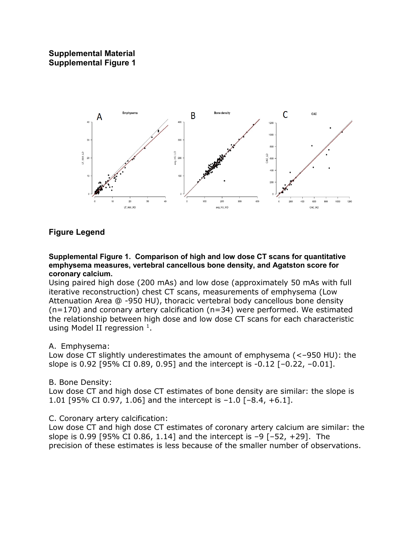## **Supplemental Material Supplemental Figure 1**



## **Figure Legend**

#### **Supplemental Figure 1. Comparison of high and low dose CT scans for quantitative emphysema measures, vertebral cancellous bone density, and Agatston score for coronary calcium.**

Using paired high dose (200 mAs) and low dose (approximately 50 mAs with full iterative reconstruction) chest CT scans, measurements of emphysema (Low Attenuation Area @ -950 HU), thoracic vertebral body cancellous bone density (n=170) and coronary artery calcification (n=34) were performed. We estimated the relationship between high dose and low dose CT scans for each characteristic using Model II regression  $<sup>1</sup>$ .</sup>

### A. Emphysema:

Low dose CT slightly underestimates the amount of emphysema (<–950 HU): the slope is 0.92 [95% CI 0.89, 0.95] and the intercept is -0.12 [–0.22, –0.01].

### B. Bone Density:

Low dose CT and high dose CT estimates of bone density are similar: the slope is 1.01 [95% CI 0.97, 1.06] and the intercept is –1.0 [–8.4, +6.1].

### C. Coronary artery calcification:

Low dose CT and high dose CT estimates of coronary artery calcium are similar: the slope is 0.99 [95% CI 0.86, 1.14] and the intercept is  $-9$  [ $-52$ ,  $+29$ ]. The precision of these estimates is less because of the smaller number of observations.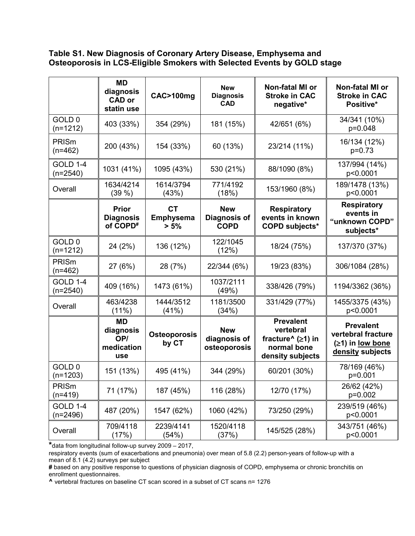## **Table S1. New Diagnosis of Coronary Artery Disease, Emphysema and Osteoporosis in LCS-Eligible Smokers with Selected Events by GOLD stage**

|                                 | <b>MD</b><br>diagnosis<br><b>CAD or</b><br>statin use    | CAC>100mg                             | <b>New</b><br><b>Diagnosis</b><br><b>CAD</b> | Non-fatal MI or<br><b>Stroke in CAC</b><br>negative*                                                                       | Non-fatal MI or<br><b>Stroke in CAC</b><br>Positive*                             |
|---------------------------------|----------------------------------------------------------|---------------------------------------|----------------------------------------------|----------------------------------------------------------------------------------------------------------------------------|----------------------------------------------------------------------------------|
| GOLD <sub>0</sub><br>$(n=1212)$ | 403 (33%)                                                | 354 (29%)                             | 181 (15%)                                    | 42/651 (6%)                                                                                                                | 34/341 (10%)<br>p=0.048                                                          |
| PRISm<br>$(n=462)$              | 200 (43%)                                                | 154 (33%)                             | 60 (13%)                                     | 23/214 (11%)                                                                                                               | 16/134 (12%)<br>$p=0.73$                                                         |
| <b>GOLD 1-4</b><br>$(n=2540)$   | 1031 (41%)                                               | 1095 (43%)                            | 530 (21%)                                    | 88/1090 (8%)                                                                                                               | 137/994 (14%)<br>p<0.0001                                                        |
| Overall                         | 1634/4214<br>(39%)                                       | 1614/3794<br>(43%)                    | 771/4192<br>(18%)                            | 153/1960 (8%)                                                                                                              | 189/1478 (13%)<br>p<0.0001                                                       |
|                                 | <b>Prior</b><br><b>Diagnosis</b><br>of COPD <sup>#</sup> | <b>CT</b><br><b>Emphysema</b><br>> 5% | <b>New</b><br>Diagnosis of<br><b>COPD</b>    | <b>Respiratory</b><br>events in known<br><b>COPD subjects*</b>                                                             | <b>Respiratory</b><br>events in<br>"unknown COPD"<br>subjects*                   |
| GOLD <sub>0</sub><br>$(n=1212)$ | 24 (2%)                                                  | 136 (12%)                             | 122/1045<br>(12%)                            | 18/24 (75%)                                                                                                                | 137/370 (37%)                                                                    |
| PRISm<br>$(n=462)$              | 27 (6%)                                                  | 28 (7%)                               | 22/344 (6%)                                  | 19/23 (83%)                                                                                                                | 306/1084 (28%)                                                                   |
| <b>GOLD 1-4</b><br>$(n=2540)$   | 409 (16%)                                                | 1473 (61%)                            | 1037/2111<br>(49%)                           | 338/426 (79%)                                                                                                              | 1194/3362 (36%)                                                                  |
| Overall                         | 463/4238<br>$(11\%)$                                     | 1444/3512<br>(41%)                    | 1181/3500<br>(34%)                           | 331/429 (77%)                                                                                                              | 1455/3375 (43%)<br>p<0.0001                                                      |
|                                 | <b>MD</b><br>diagnosis<br>OP/<br>medication<br>use       | <b>Osteoporosis</b><br>by CT          | <b>New</b><br>diagnosis of<br>osteoporosis   | <b>Prevalent</b><br>vertebral<br>fracture <sup><math>\wedge</math></sup> ( $\geq$ 1) in<br>normal bone<br>density subjects | <b>Prevalent</b><br>vertebral fracture<br>$(≥1)$ in low bone<br>density subjects |
| GOLD <sub>0</sub><br>$(n=1203)$ | 151 (13%)                                                | 495 (41%)                             | 344 (29%)                                    | 60/201 (30%)                                                                                                               | 78/169 (46%)<br>$p=0.001$                                                        |
| PRISm<br>$(n=419)$              | 71 (17%)                                                 | 187 (45%)                             | 116 (28%)                                    | 12/70 (17%)                                                                                                                | 26/62 (42%)<br>p=0.002                                                           |
| <b>GOLD 1-4</b><br>$(n=2496)$   | 487 (20%)                                                | 1547 (62%)                            | 1060 (42%)                                   | 73/250 (29%)                                                                                                               | 239/519 (46%)<br>p<0.0001                                                        |
| Overall                         | 709/4118<br>(17%)                                        | 2239/4141<br>(54%)                    | 1520/4118<br>(37%)                           | 145/525 (28%)                                                                                                              | 343/751 (46%)<br>p<0.0001                                                        |

**\***data from longitudinal follow-up survey 2009 – 2017,

respiratory events (sum of exacerbations and pneumonia) over mean of 5.8 (2.2) person-years of follow-up with a mean of 8.1 (4.2) surveys per subject

**#** based on any positive response to questions of physician diagnosis of COPD, emphysema or chronic bronchitis on enrollment questionnaires.

**^** vertebral fractures on baseline CT scan scored in a subset of CT scans n= 1276